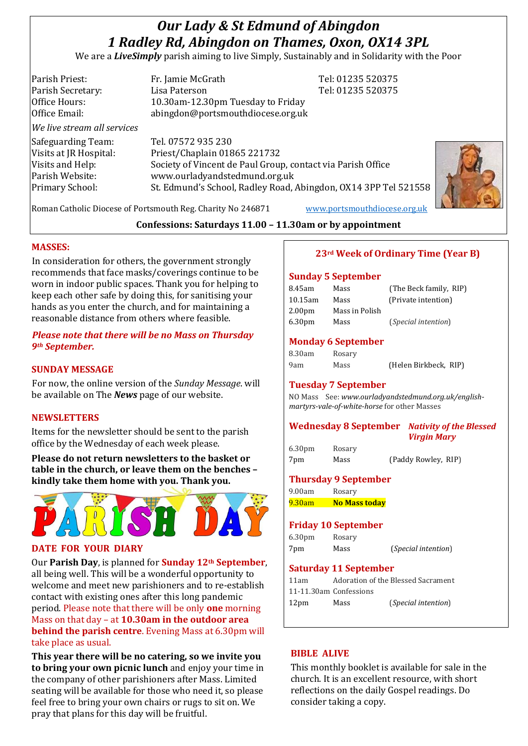# *Our Lady & St Edmund of Abingdon 1 Radley Rd, Abingdon on Thames, Oxon, OX14 3PL*

We are a *LiveSimply* parish aiming to live Simply, Sustainably and in Solidarity with the Poor

Parish Priest: Fr. Jamie McGrath Tel: 01235 520375 Parish Secretary: Tel: 01235 520375 Office Hours: 10.30am-12.30pm Tuesday to Friday Office Email: abingdon@portsmouthdiocese.org.uk *We live stream all services* Safeguarding Team: Tel. 07572 935 230 Visits at JR Hospital: Priest/Chaplain 01865 221732 Visits and Help: Society of Vincent de Paul Group, contact via Parish Office Parish Website: www.ourladyandstedmund.org.uk Primary School: St. Edmund's School, Radley Road, Abingdon, OX14 3PP Tel 521558



Roman Catholic Diocese of Portsmouth Reg. Charity No 246871 [www.portsmouthdiocese.org.uk](http://www.portsmouthdiocese.org.uk/)

# **Confessions: Saturdays 11.00 – 11.30am or by appointment**

## **MASSES:**

In consideration for others, the government strongly recommends that face masks/coverings continue to be worn in indoor public spaces. Thank you for helping to keep each other safe by doing this, for sanitising your hands as you enter the church, and for maintaining a reasonable distance from others where feasible.

# *Please note that there will be no Mass on Thursday 9th September.*

# **SUNDAY MESSAGE**

For now, the online version of the *Sunday Message*. will be available on The *News* page of our website.

## **NEWSLETTERS**

Items for the newsletter should be sent to the parish office by the Wednesday of each week please.

**Please do not return newsletters to the basket or table in the church, or leave them on the benches – kindly take them home with you. Thank you.**



#### **DATE FOR YOUR DIARY**

Our **Parish Day**, is planned for **Sunday 12th September**, all being well. This will be a wonderful opportunity to welcome and meet new parishioners and to re-establish contact with existing ones after this long pandemic period. Please note that there will be only **one** morning Mass on that day – at **10.30am in the outdoor area behind the parish centre**. Evening Mass at 6.30pm will take place as usual.

**This year there will be no catering, so we invite you to bring your own picnic lunch** and enjoy your time in the company of other parishioners after Mass. Limited seating will be available for those who need it, so please feel free to bring your own chairs or rugs to sit on. We pray that plans for this day will be fruitful.

# **23rd Week of Ordinary Time (Year B)**

#### **Sunday 5 September**

| 8.45am             | Mass           | (The Beck family, RIP) |
|--------------------|----------------|------------------------|
| 10.15am            | Mass           | (Private intention)    |
| 2.00 <sub>pm</sub> | Mass in Polish |                        |
| 6.30pm             | Mass           | (Special intention)    |
|                    |                |                        |

#### **Monday 6 September**

| 8.30am | Rosary |                       |  |
|--------|--------|-----------------------|--|
| 9am    | Mass   | (Helen Birkbeck, RIP) |  |

# **Tuesday 7 September**

NO Mass See: *www.ourladyandstedmund.org.uk/englishmartyrs-vale-of-white-horse* for other Masses

#### **Wednesday 8 September** *Nativity of the Blessed Virgin Mary*

6.30pm Rosary

7pm Mass (Paddy Rowley, RIP)

## **Thursday 9 September**

9.00am Rosary 9.30am **No Mass today**

# **Friday 10 September**

6.30pm Rosary 7pm Mass (*Special intention*)

#### **Saturday 11 September**

| 11am             |                        | Adoration of the Blessed Sacrament |
|------------------|------------------------|------------------------------------|
|                  | 11-11.30am Confessions |                                    |
| 12 <sub>pm</sub> | Mass                   | ( <i>Special intention</i> )       |

## **BIBLE ALIVE**

This monthly booklet is available for sale in the church. It is an excellent resource, with short reflections on the daily Gospel readings. Do consider taking a copy.